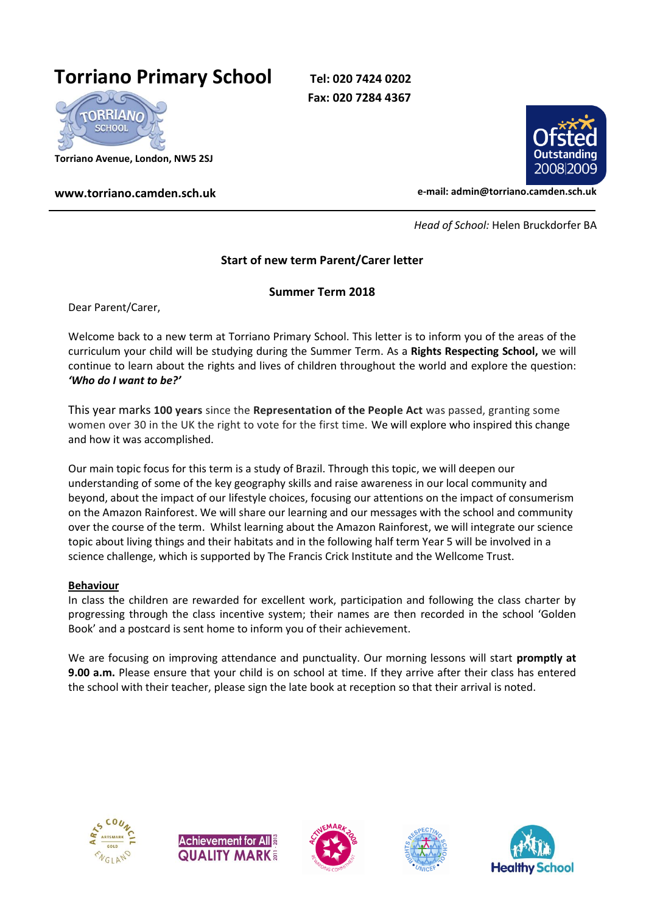## **Torriano Primary School Tel: 020 7424 0202**

**Fax: 020 7284 4367** 



**Torriano Avenue, London, NW5 2SJ**



**www.torriano.camden.sch.uk e-mail: admin@torriano.camden.sch.uk**

 *Head of School:* Helen Bruckdorfer BA

## **Start of new term Parent/Carer letter**

## **Summer Term 2018**

Dear Parent/Carer,

Welcome back to a new term at Torriano Primary School. This letter is to inform you of the areas of the curriculum your child will be studying during the Summer Term. As a **Rights Respecting School,** we will continue to learn about the rights and lives of children throughout the world and explore the question: *'Who do I want to be?'*

This year marks **100 years** since the **Representation of the People Act** was passed, granting some women over 30 in the UK the right to vote for the first time. We will explore who inspired this change and how it was accomplished.

Our main topic focus for this term is a study of Brazil. Through this topic, we will deepen our understanding of some of the key geography skills and raise awareness in our local community and beyond, about the impact of our lifestyle choices, focusing our attentions on the impact of consumerism on the Amazon Rainforest. We will share our learning and our messages with the school and community over the course of the term. Whilst learning about the Amazon Rainforest, we will integrate our science topic about living things and their habitats and in the following half term Year 5 will be involved in a science challenge, which is supported by The Francis Crick Institute and the Wellcome Trust.

## **Behaviour**

In class the children are rewarded for excellent work, participation and following the class charter by progressing through the class incentive system; their names are then recorded in the school 'Golden Book' and a postcard is sent home to inform you of their achievement.

We are focusing on improving attendance and punctuality. Our morning lessons will start **promptly at 9.00 a.m.** Please ensure that your child is on school at time. If they arrive after their class has entered the school with their teacher, please sign the late book at reception so that their arrival is noted.